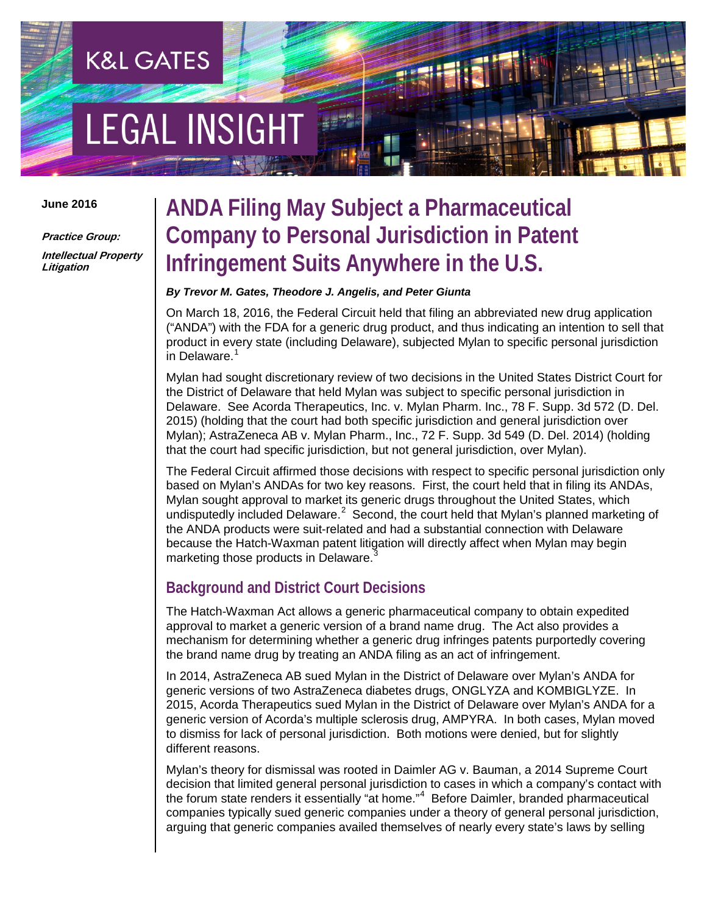# **EGAL INSIGHT**

**K&L GATES** 

#### **June 2016**

**Practice Group: Intellectual Property Litigation**

### **ANDA Filing May Subject a Pharmaceutical Company to Personal Jurisdiction in Patent Infringement Suits Anywhere in the U.S.**

#### *By Trevor M. Gates, Theodore J. Angelis, and Peter Giunta*

On March 18, 2016, the Federal Circuit held that filing an abbreviated new drug application ("ANDA") with the FDA for a generic drug product, and thus indicating an intention to sell that product in every state (including Delaware), subjected Mylan to specific personal jurisdiction in Delaware.<sup>[1](#page-3-0)</sup>

Mylan had sought discretionary review of two decisions in the United States District Court for the District of Delaware that held Mylan was subject to specific personal jurisdiction in Delaware. See Acorda Therapeutics, Inc. v. Mylan Pharm. Inc., 78 F. Supp. 3d 572 (D. Del. 2015) (holding that the court had both specific jurisdiction and general jurisdiction over Mylan); AstraZeneca AB v. Mylan Pharm., Inc., 72 F. Supp. 3d 549 (D. Del. 2014) (holding that the court had specific jurisdiction, but not general jurisdiction, over Mylan).

The Federal Circuit affirmed those decisions with respect to specific personal jurisdiction only based on Mylan's ANDAs for two key reasons. First, the court held that in filing its ANDAs, Mylan sought approval to market its generic drugs throughout the United States, which undisputedly included Delaware.<sup>[2](#page-3-1)</sup> Second, the court held that Mylan's planned marketing of the ANDA products were suit-related and had a substantial connection with Delaware because the Hatch-Waxman patent litigation will directly affect when Mylan may begin marketing those products in Delaware.<sup>[3](#page-3-2)</sup>

#### **Background and District Court Decisions**

The Hatch-Waxman Act allows a generic pharmaceutical company to obtain expedited approval to market a generic version of a brand name drug. The Act also provides a mechanism for determining whether a generic drug infringes patents purportedly covering the brand name drug by treating an ANDA filing as an act of infringement.

In 2014, AstraZeneca AB sued Mylan in the District of Delaware over Mylan's ANDA for generic versions of two AstraZeneca diabetes drugs, ONGLYZA and KOMBIGLYZE. In 2015, Acorda Therapeutics sued Mylan in the District of Delaware over Mylan's ANDA for a generic version of Acorda's multiple sclerosis drug, AMPYRA. In both cases, Mylan moved to dismiss for lack of personal jurisdiction. Both motions were denied, but for slightly different reasons.

Mylan's theory for dismissal was rooted in Daimler AG v. Bauman, a 2014 Supreme Court decision that limited general personal jurisdiction to cases in which a company's contact with the forum state renders it essentially "at home."<sup>[4](#page-3-3)</sup> Before Daimler, branded pharmaceutical companies typically sued generic companies under a theory of general personal jurisdiction, arguing that generic companies availed themselves of nearly every state's laws by selling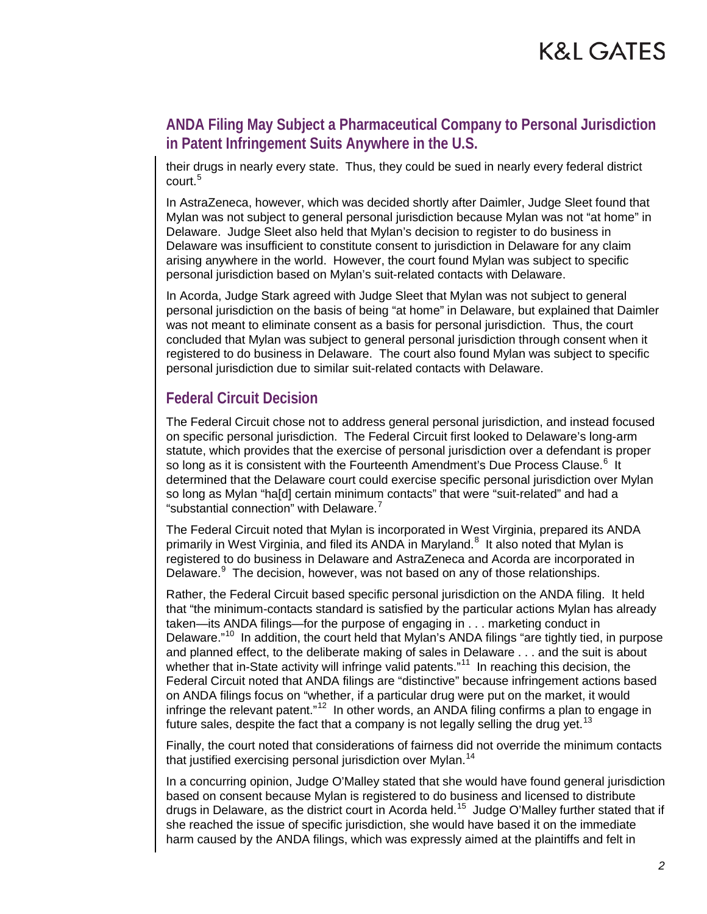#### **ANDA Filing May Subject a Pharmaceutical Company to Personal Jurisdiction in Patent Infringement Suits Anywhere in the U.S.**

their drugs in nearly every state. Thus, they could be sued in nearly every federal district court.<sup>[5](#page-3-4)</sup>

In AstraZeneca, however, which was decided shortly after Daimler, Judge Sleet found that Mylan was not subject to general personal jurisdiction because Mylan was not "at home" in Delaware. Judge Sleet also held that Mylan's decision to register to do business in Delaware was insufficient to constitute consent to jurisdiction in Delaware for any claim arising anywhere in the world. However, the court found Mylan was subject to specific personal jurisdiction based on Mylan's suit-related contacts with Delaware.

In Acorda, Judge Stark agreed with Judge Sleet that Mylan was not subject to general personal jurisdiction on the basis of being "at home" in Delaware, but explained that Daimler was not meant to eliminate consent as a basis for personal jurisdiction. Thus, the court concluded that Mylan was subject to general personal jurisdiction through consent when it registered to do business in Delaware. The court also found Mylan was subject to specific personal jurisdiction due to similar suit-related contacts with Delaware.

#### **Federal Circuit Decision**

The Federal Circuit chose not to address general personal jurisdiction, and instead focused on specific personal jurisdiction. The Federal Circuit first looked to Delaware's long-arm statute, which provides that the exercise of personal jurisdiction over a defendant is proper so long as it is consistent with the Fourteenth Amendment's Due Process Clause.<sup>[6](#page-3-5)</sup> It determined that the Delaware court could exercise specific personal jurisdiction over Mylan so long as Mylan "ha[d] certain minimum contacts" that were "suit-related" and had a "substantial connection" with Delaware.<sup>[7](#page-3-6)</sup>

The Federal Circuit noted that Mylan is incorporated in West Virginia, prepared its ANDA primarily in West Virginia, and filed its ANDA in Maryland.<sup>[8](#page-3-7)</sup> It also noted that Mylan is registered to do business in Delaware and AstraZeneca and Acorda are incorporated in Delaware.<sup>[9](#page-3-8)</sup> The decision, however, was not based on any of those relationships.

Rather, the Federal Circuit based specific personal jurisdiction on the ANDA filing. It held that "the minimum-contacts standard is satisfied by the particular actions Mylan has already taken—its ANDA filings—for the purpose of engaging in . . . marketing conduct in Delaware."<sup>10</sup> In addition, the court held that Mylan's ANDA filings "are tightly tied, in purpose and planned effect, to the deliberate making of sales in Delaware . . . and the suit is about whether that in-State activity will infringe valid patents."<sup>[11](#page-3-10)</sup> In reaching this decision, the Federal Circuit noted that ANDA filings are "distinctive" because infringement actions based on ANDA filings focus on "whether, if a particular drug were put on the market, it would infringe the relevant patent."<sup>12</sup> In other words, an ANDA filing confirms a plan to engage in future sales, despite the fact that a company is not legally selling the drug yet.<sup>[13](#page-3-12)</sup>

Finally, the court noted that considerations of fairness did not override the minimum contacts that justified exercising personal jurisdiction over Mylan.<sup>[14](#page-3-13)</sup>

In a concurring opinion, Judge O'Malley stated that she would have found general jurisdiction based on consent because Mylan is registered to do business and licensed to distribute drugs in Delaware, as the district court in Acorda held.[15](#page-3-14) Judge O'Malley further stated that if she reached the issue of specific jurisdiction, she would have based it on the immediate harm caused by the ANDA filings, which was expressly aimed at the plaintiffs and felt in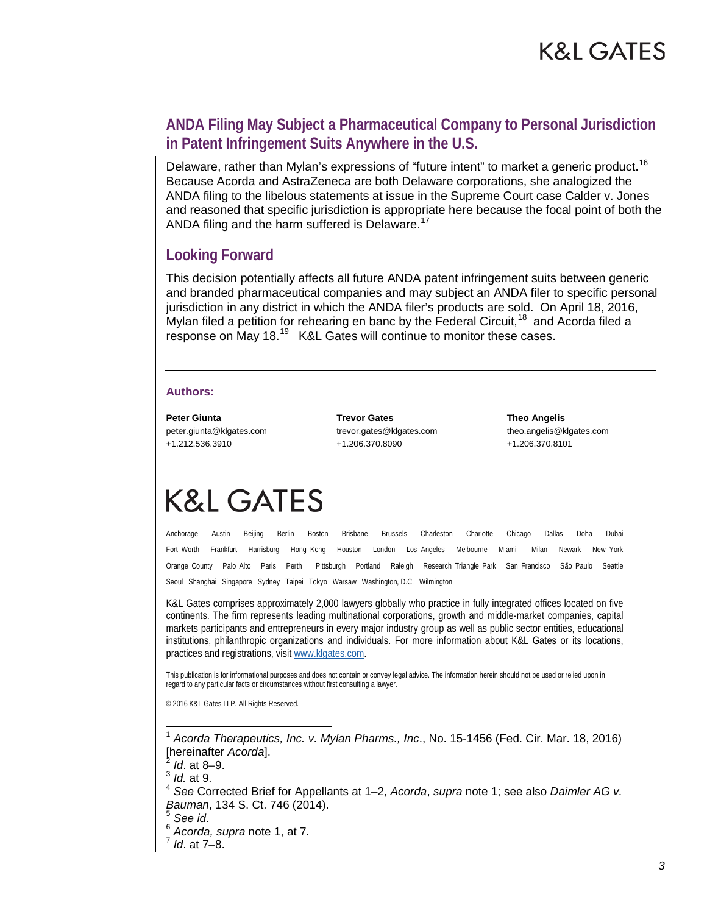#### **ANDA Filing May Subject a Pharmaceutical Company to Personal Jurisdiction in Patent Infringement Suits Anywhere in the U.S.**

Delaware, rather than Mylan's expressions of "future intent" to market a generic product.<sup>[16](#page-3-15)</sup> Because Acorda and AstraZeneca are both Delaware corporations, she analogized the ANDA filing to the libelous statements at issue in the Supreme Court case Calder v. Jones and reasoned that specific jurisdiction is appropriate here because the focal point of both the ANDA filing and the harm suffered is Delaware.<sup>[17](#page-3-16)</sup>

#### **Looking Forward**

This decision potentially affects all future ANDA patent infringement suits between generic and branded pharmaceutical companies and may subject an ANDA filer to specific personal jurisdiction in any district in which the ANDA filer's products are sold. On April 18, 2016, Mylan filed a petition for rehearing en banc by the Federal Circuit,<sup>[18](#page-3-17)</sup> and Acorda filed a response on May 18.<sup>[19](#page-3-18)</sup> K&L Gates will continue to monitor these cases.

#### **Authors:**

**Peter Giunta** peter.giunta@klgates.com +1.212.536.3910

**Trevor Gates** trevor.gates@klgates.com +1.206.370.8090

**Theo Angelis** theo.angelis@klgates.com +1.206.370.8101

# **K&L GATES**

Anchorage Austin Beijing Berlin Boston Brisbane Brussels Charleston Charlotte Chicago Dallas Doha Dubai Fort Worth Frankfurt Harrisburg Hong Kong Houston London Los Angeles Melbourne Miami Milan Newark New York Orange County Palo Alto Paris Perth Pittsburgh Portland Raleigh Research Triangle Park San Francisco São Paulo Seattle Seoul Shanghai Singapore Sydney Taipei Tokyo Warsaw Washington, D.C. Wilmington

K&L Gates comprises approximately 2,000 lawyers globally who practice in fully integrated offices located on five continents. The firm represents leading multinational corporations, growth and middle-market companies, capital markets participants and entrepreneurs in every major industry group as well as public sector entities, educational institutions, philanthropic organizations and individuals. For more information about K&L Gates or its locations, practices and registrations, visit [www.klgates.com.](http://www.klgates.com/)

This publication is for informational purposes and does not contain or convey legal advice. The information herein should not be used or relied upon in regard to any particular facts or circumstances without first consulting a lawyer.

© 2016 K&L Gates LLP. All Rights Reserved.

 1 *Acorda Therapeutics, Inc. v. Mylan Pharms., Inc*., No. 15-1456 (Fed. Cir. Mar. 18, 2016) [hereinafter *Acorda*]. <sup>2</sup> *Id*. at 8–9.

<sup>4</sup> *See* Corrected Brief for Appellants at 1–2, *Acorda*, *supra* note 1; see also *Daimler AG v. Bauman*, 134 S. Ct. 746 (2014).<br><sup>5</sup> *See id.*<br><sup>6</sup> *Acorda, supra* note 1, at 7.<br><sup>7</sup> *Id.* at 7–8.

- 
- 

<sup>3</sup> *Id.* at 9.